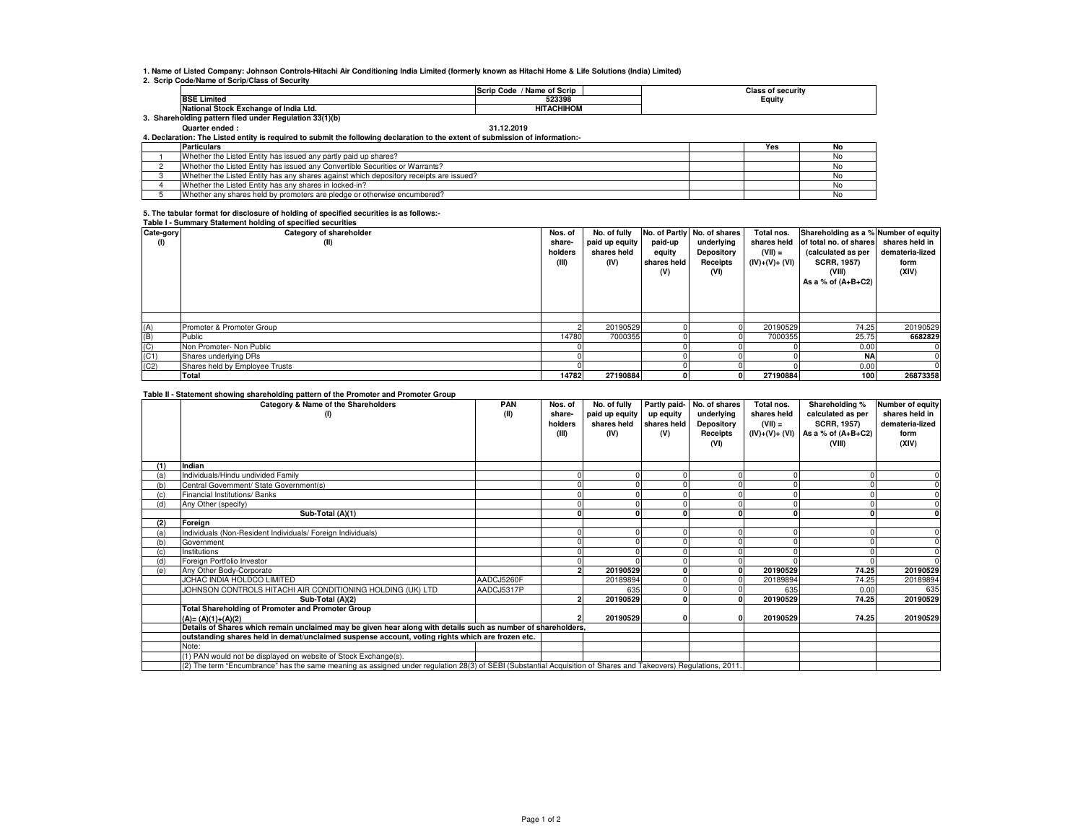**1. Name of Listed Company: Johnson Controls-Hitachi Air Conditioning India Limited (formerly known as Hitachi Home & Life Solutions (India) Limited)**

**2. Scrip Code/Name of Scrip/Class of Security**

|                                                      | / Name of Scrip<br><b>Scrip Code</b> | Class of securitv |
|------------------------------------------------------|--------------------------------------|-------------------|
| <b>BSE Limited</b>                                   | 523398                               | Equity            |
| National Stock Exchange of India Ltd.                | <b>HITACHIHOM</b>                    |                   |
| Shareholding pattern filed under Regulation 33(1)(b) |                                      |                   |

## **Quarter ended : 31.12.2019**

**4. Declaration: The Listed entity is required to submit the following declaration to the extent of submission of information:-**

| <b>Particulars</b>                                                                     | Yes |  |
|----------------------------------------------------------------------------------------|-----|--|
| Whether the Listed Entity has issued any partly paid up shares?                        |     |  |
| Whether the Listed Entity has issued any Convertible Securities or Warrants?           |     |  |
| Whether the Listed Entity has any shares against which depository receipts are issued? |     |  |
| Whether the Listed Entity has any shares in locked-in?                                 |     |  |
| Whether any shares held by promoters are pledge or otherwise encumbered?               |     |  |

## **5. The tabular format for disclosure of holding of specified securities is as follows:- Table I - Summary Statement holding of specified securities**

| Cate-gory<br>(1) | Table L. Califfichty Claterient Holding of Specified Securities<br>Category of shareholder<br>(II) | Nos. of<br>share-<br>holders<br>(III) | No. of fully<br>paid up equity<br>shares held<br>(IV) | paid-up<br>equity<br>shares held<br>(V) | No. of Partly No. of shares<br>underlying<br>Depository<br>Receipts<br>(VI) | Total nos.<br>shares held<br>$(VII) =$<br>(IV)+(V)+ (VI) | Shareholding as a % Number of equity<br>of total no. of shares<br>(calculated as per<br><b>SCRR, 1957)</b><br>(VIII)<br>As a % of $(A+B+C2)$ | shares held in<br>demateria-lized<br>form<br>(XIV) |
|------------------|----------------------------------------------------------------------------------------------------|---------------------------------------|-------------------------------------------------------|-----------------------------------------|-----------------------------------------------------------------------------|----------------------------------------------------------|----------------------------------------------------------------------------------------------------------------------------------------------|----------------------------------------------------|
|                  |                                                                                                    |                                       |                                                       |                                         |                                                                             |                                                          |                                                                                                                                              |                                                    |
| (A)              | Promoter & Promoter Group                                                                          |                                       | 20190529                                              |                                         |                                                                             | 20190529                                                 | 74.25                                                                                                                                        | 20190529                                           |
| (B)              | Public                                                                                             | 14780                                 | 7000355                                               |                                         |                                                                             | 7000355                                                  | 25.75                                                                                                                                        | 6682829                                            |
| (C)              | Non Promoter- Non Public                                                                           |                                       |                                                       |                                         |                                                                             |                                                          | 0.00                                                                                                                                         |                                                    |
| (C1)             | Shares underlying DRs                                                                              |                                       |                                                       |                                         |                                                                             |                                                          | <b>NA</b>                                                                                                                                    |                                                    |
| (C2)             | Shares held by Employee Trusts                                                                     |                                       |                                                       |                                         |                                                                             |                                                          | 0.00                                                                                                                                         |                                                    |
|                  | Total                                                                                              | 14782                                 | 27190884                                              |                                         |                                                                             | 27190884                                                 | 100                                                                                                                                          | 26873358                                           |

## **Table II - Statement showing shareholding pattern of the Promoter and Promoter Group**

|     | and a procession of the main of particular of the complete and complete when<br>Category & Name of the Shareholders                                             | PAN        | Nos. of | No. of fully   |             | Partly paid- No. of shares | Total nos.     | Shareholding %       | Number of equity |
|-----|-----------------------------------------------------------------------------------------------------------------------------------------------------------------|------------|---------|----------------|-------------|----------------------------|----------------|----------------------|------------------|
|     | (1)                                                                                                                                                             | (II)       | share-  | paid up equity | up equity   | underlying                 | shares held    | calculated as per    | shares held in   |
|     |                                                                                                                                                                 |            | holders | shares held    | shares held | Depository                 | $(VII) =$      | <b>SCRR, 1957)</b>   | demateria-lized  |
|     |                                                                                                                                                                 |            | (III)   | (IV)           | (V)         | Receipts                   | (IV)+(V)+ (VI) | As a % of $(A+B+C2)$ | form             |
|     |                                                                                                                                                                 |            |         |                |             | (VI)                       |                | (VIII)               | (XIV)            |
|     |                                                                                                                                                                 |            |         |                |             |                            |                |                      |                  |
| (1) | Indian                                                                                                                                                          |            |         |                |             |                            |                |                      |                  |
| (a) | Individuals/Hindu undivided Family                                                                                                                              |            |         |                |             |                            |                |                      |                  |
| (b) | Central Government/ State Government(s)                                                                                                                         |            |         |                |             |                            |                |                      |                  |
|     | Financial Institutions/ Banks                                                                                                                                   |            |         |                |             |                            |                |                      |                  |
| (d) | Any Other (specify)                                                                                                                                             |            |         |                |             |                            |                |                      |                  |
|     | Sub-Total (A)(1)                                                                                                                                                |            |         |                |             |                            |                |                      |                  |
| (2) | Foreign                                                                                                                                                         |            |         |                |             |                            |                |                      |                  |
| (a) | Individuals (Non-Resident Individuals/ Foreign Individuals)                                                                                                     |            |         |                |             |                            |                |                      |                  |
| (b) | Government                                                                                                                                                      |            |         |                |             |                            |                |                      |                  |
| (c) | Institutions                                                                                                                                                    |            |         |                |             |                            |                |                      |                  |
| (d) | Foreign Portfolio Investor                                                                                                                                      |            |         |                |             |                            |                |                      |                  |
| (e) | Any Other Body-Corporate                                                                                                                                        |            |         | 20190529       |             |                            | 20190529       | 74.25                | 20190529         |
|     | JCHAC INDIA HOLDCO LIMITED                                                                                                                                      | AADCJ5260F |         | 20189894       |             |                            | 20189894       | 74.25                | 20189894         |
|     | JOHNSON CONTROLS HITACHI AIR CONDITIONING HOLDING (UK) LTD                                                                                                      | AADCJ5317P |         | 635            |             |                            | 635            | 0.00                 | 635              |
|     | Sub-Total (A)(2)                                                                                                                                                |            |         | 20190529       |             |                            | 20190529       | 74.25                | 20190529         |
|     | <b>Total Shareholding of Promoter and Promoter Group</b>                                                                                                        |            |         |                |             |                            |                |                      |                  |
|     | $(A) = (A)(1)+(A)(2)$                                                                                                                                           |            |         | 20190529       |             |                            | 20190529       | 74.25                | 20190529         |
|     | Details of Shares which remain unclaimed may be given hear along with details such as number of shareholders,                                                   |            |         |                |             |                            |                |                      |                  |
|     | outstanding shares held in demat/unclaimed suspense account, voting rights which are frozen etc.                                                                |            |         |                |             |                            |                |                      |                  |
|     | Note:                                                                                                                                                           |            |         |                |             |                            |                |                      |                  |
|     | (1) PAN would not be displayed on website of Stock Exchange(s).                                                                                                 |            |         |                |             |                            |                |                      |                  |
|     | (2) The term "Encumbrance" has the same meaning as assigned under regulation 28(3) of SEBI (Substantial Acquisition of Shares and Takeovers) Regulations, 2011. |            |         |                |             |                            |                |                      |                  |